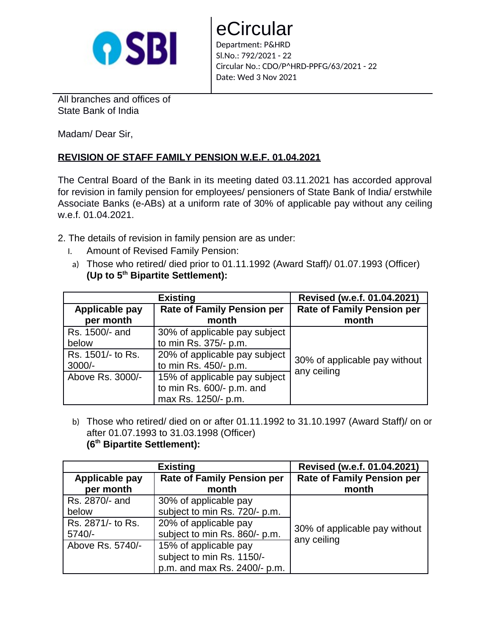

eCircular Department: P&HRD Sl.No.: 792/2021 - 22 Circular No.: CDO/P^HRD-PPFG/63/2021 - 22

All branches and offices of State Bank of India

Madam/ Dear Sir,

## **REVISION OF STAFF FAMILY PENSION W.E.F. 01.04.2021**

The Central Board of the Bank in its meeting dated 03.11.2021 has accorded approval for revision in family pension for employees/ pensioners of State Bank of India/ erstwhile Associate Banks (e-ABs) at a uniform rate of 30% of applicable pay without any ceiling w.e.f. 01.04.2021.

Date: Wed 3 Nov 2021

- 2. The details of revision in family pension are as under:
	- I. Amount of Revised Family Pension:
	- a) Those who retired/ died prior to 01.11.1992 (Award Staff)/ 01.07.1993 (Officer) **(Up to 5th Bipartite Settlement):**

|                   | <b>Existing</b>                   | Revised (w.e.f. 01.04.2021)                  |
|-------------------|-----------------------------------|----------------------------------------------|
| Applicable pay    | <b>Rate of Family Pension per</b> | <b>Rate of Family Pension per</b>            |
| per month         | month                             | month                                        |
| Rs. 1500/- and    | 30% of applicable pay subject     |                                              |
| below             | to min Rs. 375/- p.m.             |                                              |
| Rs. 1501/- to Rs. | 20% of applicable pay subject     |                                              |
| $3000/-$          | to min Rs. 450/- p.m.             | 30% of applicable pay without<br>any ceiling |
| Above Rs. 3000/-  | 15% of applicable pay subject     |                                              |
|                   | to min Rs. 600/- p.m. and         |                                              |
|                   | max Rs. 1250/- p.m.               |                                              |

b) Those who retired/ died on or after 01.11.1992 to 31.10.1997 (Award Staff)/ on or after 01.07.1993 to 31.03.1998 (Officer) **(6th Bipartite Settlement):**

|                   | <b>Existing</b>                   | Revised (w.e.f. 01.04.2021)                  |
|-------------------|-----------------------------------|----------------------------------------------|
| Applicable pay    | <b>Rate of Family Pension per</b> | <b>Rate of Family Pension per</b>            |
| per month         | month                             | month                                        |
| Rs. 2870/- and    | 30% of applicable pay             |                                              |
| below             | subject to min Rs. 720/- p.m.     |                                              |
| Rs. 2871/- to Rs. | 20% of applicable pay             |                                              |
| $5740/-$          | subject to min Rs. 860/- p.m.     | 30% of applicable pay without<br>any ceiling |
| Above Rs. 5740/-  | 15% of applicable pay             |                                              |
|                   | subject to min Rs. 1150/-         |                                              |
|                   | p.m. and max Rs. 2400/- p.m.      |                                              |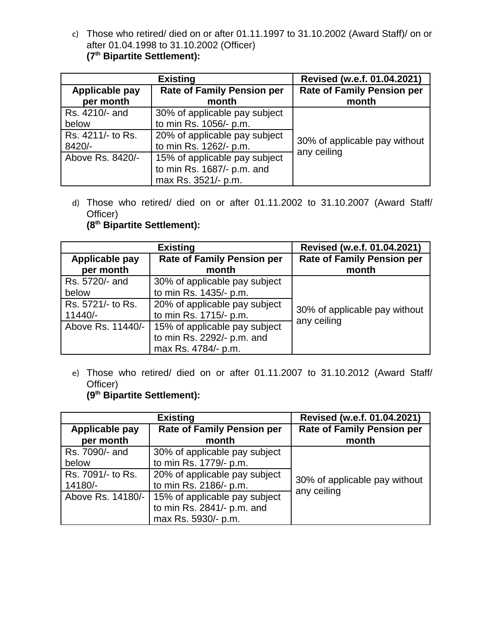c) Those who retired/ died on or after 01.11.1997 to 31.10.2002 (Award Staff)/ on or after 01.04.1998 to 31.10.2002 (Officer) **(7th Bipartite Settlement):**

|                   | <b>Existing</b>                   | Revised (w.e.f. 01.04.2021)                  |
|-------------------|-----------------------------------|----------------------------------------------|
| Applicable pay    | <b>Rate of Family Pension per</b> | <b>Rate of Family Pension per</b>            |
| per month         | month                             | month                                        |
| Rs. 4210/- and    | 30% of applicable pay subject     |                                              |
| below             | to min Rs. 1056/- p.m.            |                                              |
| Rs. 4211/- to Rs. | 20% of applicable pay subject     |                                              |
| 8420/-            | to min Rs. 1262/- p.m.            | 30% of applicable pay without<br>any ceiling |
| Above Rs. 8420/-  | 15% of applicable pay subject     |                                              |
|                   | to min Rs. 1687/- p.m. and        |                                              |
|                   | max Rs. 3521/- p.m.               |                                              |

d) Those who retired/ died on or after 01.11.2002 to 31.10.2007 (Award Staff/ Officer)

**(8th Bipartite Settlement):**

|                   | <b>Existing</b>                   | Revised (w.e.f. 01.04.2021)       |
|-------------------|-----------------------------------|-----------------------------------|
| Applicable pay    | <b>Rate of Family Pension per</b> | <b>Rate of Family Pension per</b> |
| per month         | month                             | month                             |
| Rs. 5720/- and    | 30% of applicable pay subject     |                                   |
| below             | to min Rs. 1435/- p.m.            |                                   |
| Rs. 5721/- to Rs. | 20% of applicable pay subject     |                                   |
| 11440/-           | to min Rs. 1715/- p.m.            | 30% of applicable pay without     |
| Above Rs. 11440/- | 15% of applicable pay subject     | any ceiling                       |
|                   | to min Rs. 2292/- p.m. and        |                                   |
|                   | max Rs. 4784/- p.m.               |                                   |

e) Those who retired/ died on or after 01.11.2007 to 31.10.2012 (Award Staff/ Officer)

## **(9th Bipartite Settlement):**

|                   | <b>Existing</b>                   | Revised (w.e.f. 01.04.2021)       |
|-------------------|-----------------------------------|-----------------------------------|
| Applicable pay    | <b>Rate of Family Pension per</b> | <b>Rate of Family Pension per</b> |
| per month         | month                             | month                             |
| Rs. 7090/- and    | 30% of applicable pay subject     |                                   |
| below             | to min Rs. 1779/- p.m.            |                                   |
| Rs. 7091/- to Rs. | 20% of applicable pay subject     | 30% of applicable pay without     |
| 14180/-           | to min Rs. 2186/- p.m.            | any ceiling                       |
| Above Rs. 14180/- | 15% of applicable pay subject     |                                   |
|                   | to min Rs. 2841/- p.m. and        |                                   |
|                   | max Rs. 5930/- p.m.               |                                   |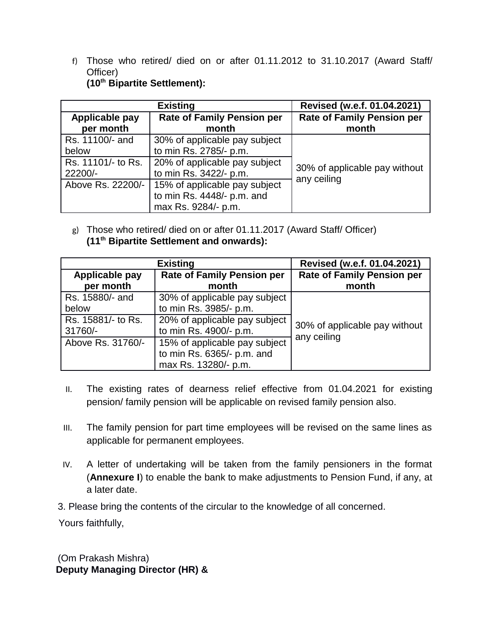f) Those who retired/ died on or after 01.11.2012 to 31.10.2017 (Award Staff/ Officer) **(10th Bipartite Settlement):**

|                    | <b>Existing</b>                   | Revised (w.e.f. 01.04.2021)                  |
|--------------------|-----------------------------------|----------------------------------------------|
| Applicable pay     | <b>Rate of Family Pension per</b> | <b>Rate of Family Pension per</b>            |
| per month          | month                             | month                                        |
| Rs. 11100/- and    | 30% of applicable pay subject     |                                              |
| below              | to min Rs. 2785/- p.m.            |                                              |
| Rs. 11101/- to Rs. | 20% of applicable pay subject     |                                              |
| 22200/-            | to min Rs. 3422/- p.m.            | 30% of applicable pay without<br>any ceiling |
| Above Rs. 22200/-  | 15% of applicable pay subject     |                                              |
|                    | to min Rs. 4448/- p.m. and        |                                              |
|                    | max Rs. 9284/- p.m.               |                                              |

g) Those who retired/ died on or after 01.11.2017 (Award Staff/ Officer) **(11th Bipartite Settlement and onwards):**

|                             | <b>Existing</b>                            | Revised (w.e.f. 01.04.2021)                |
|-----------------------------|--------------------------------------------|--------------------------------------------|
| Applicable pay<br>per month | <b>Rate of Family Pension per</b><br>month | <b>Rate of Family Pension per</b><br>month |
|                             |                                            |                                            |
| Rs. 15880/- and             | 30% of applicable pay subject              |                                            |
| below                       | to min Rs. 3985/- p.m.                     |                                            |
| Rs. 15881/- to Rs.          | 20% of applicable pay subject              | 30% of applicable pay without              |
| 31760/-                     | to min Rs. 4900/- p.m.                     | any ceiling                                |
| Above Rs. 31760/-           | 15% of applicable pay subject              |                                            |
|                             | to min Rs. 6365/- p.m. and                 |                                            |
|                             | max Rs. 13280/- p.m.                       |                                            |

- II. The existing rates of dearness relief effective from 01.04.2021 for existing pension/ family pension will be applicable on revised family pension also.
- III. The family pension for part time employees will be revised on the same lines as applicable for permanent employees.
- IV. A letter of undertaking will be taken from the family pensioners in the format (**Annexure I**) to enable the bank to make adjustments to Pension Fund, if any, at a later date.

3. Please bring the contents of the circular to the knowledge of all concerned.

Yours faithfully,

(Om Prakash Mishra)  **Deputy Managing Director (HR) &**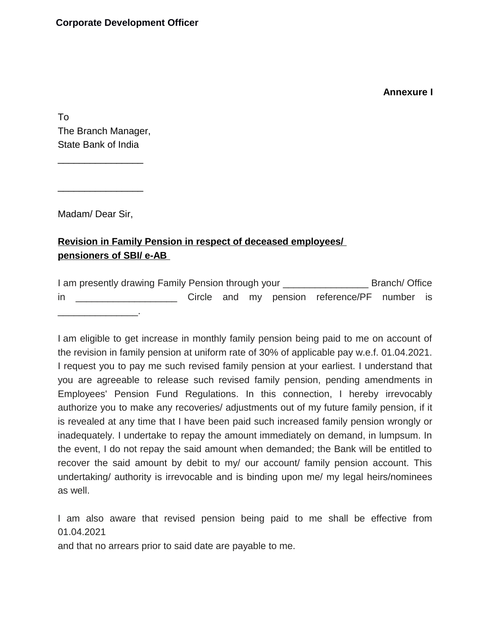## **Annexure I**

To The Branch Manager, State Bank of India

 $\frac{1}{2}$ 

 $\frac{1}{2}$ 

Madam/ Dear Sir,

## **Revision in Family Pension in respect of deceased employees/ pensioners of SBI/ e-AB**

I am presently drawing Family Pension through your \_\_\_\_\_\_\_\_\_\_\_\_\_\_\_\_ Branch/ Office in **in** Circle and my pension reference/PF number is  $\mathcal{L}_\text{max}$  and  $\mathcal{L}_\text{max}$  and  $\mathcal{L}_\text{max}$ 

I am eligible to get increase in monthly family pension being paid to me on account of the revision in family pension at uniform rate of 30% of applicable pay w.e.f. 01.04.2021. I request you to pay me such revised family pension at your earliest. I understand that you are agreeable to release such revised family pension, pending amendments in Employees' Pension Fund Regulations. In this connection, I hereby irrevocably authorize you to make any recoveries/ adjustments out of my future family pension, if it is revealed at any time that I have been paid such increased family pension wrongly or inadequately. I undertake to repay the amount immediately on demand, in lumpsum. In the event, I do not repay the said amount when demanded; the Bank will be entitled to recover the said amount by debit to my/ our account/ family pension account. This undertaking/ authority is irrevocable and is binding upon me/ my legal heirs/nominees as well.

I am also aware that revised pension being paid to me shall be effective from 01.04.2021

and that no arrears prior to said date are payable to me.